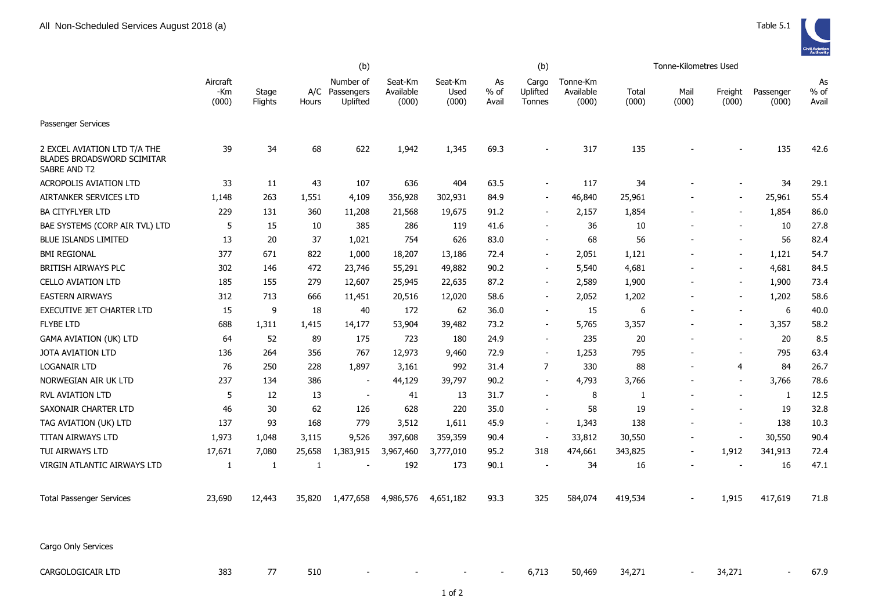|                                                                                   |                          |                  | (b)          |                                         |                               |                          |                     | (b)                         |                                |                | Tonne-Kilometres Used |                          |                    |                     |
|-----------------------------------------------------------------------------------|--------------------------|------------------|--------------|-----------------------------------------|-------------------------------|--------------------------|---------------------|-----------------------------|--------------------------------|----------------|-----------------------|--------------------------|--------------------|---------------------|
|                                                                                   | Aircraft<br>-Km<br>(000) | Stage<br>Flights | Hours        | Number of<br>A/C Passengers<br>Uplifted | Seat-Km<br>Available<br>(000) | Seat-Km<br>Used<br>(000) | As<br>% of<br>Avail | Cargo<br>Uplifted<br>Tonnes | Tonne-Km<br>Available<br>(000) | Total<br>(000) | Mail<br>(000)         | Freight<br>(000)         | Passenger<br>(000) | As<br>% of<br>Avail |
| Passenger Services                                                                |                          |                  |              |                                         |                               |                          |                     |                             |                                |                |                       |                          |                    |                     |
| 2 EXCEL AVIATION LTD T/A THE<br><b>BLADES BROADSWORD SCIMITAR</b><br>SABRE AND T2 | 39                       | 34               | 68           | 622                                     | 1,942                         | 1,345                    | 69.3                | $\blacksquare$              | 317                            | 135            |                       | $\overline{\phantom{a}}$ | 135                | 42.6                |
| <b>ACROPOLIS AVIATION LTD</b>                                                     | 33                       | 11               | 43           | 107                                     | 636                           | 404                      | 63.5                | $\blacksquare$              | 117                            | 34             |                       |                          | 34                 | 29.1                |
| AIRTANKER SERVICES LTD                                                            | 1,148                    | 263              | 1,551        | 4,109                                   | 356,928                       | 302,931                  | 84.9                | $\overline{\phantom{a}}$    | 46,840                         | 25,961         |                       | $\blacksquare$           | 25,961             | 55.4                |
| <b>BA CITYFLYER LTD</b>                                                           | 229                      | 131              | 360          | 11,208                                  | 21,568                        | 19,675                   | 91.2                | $\overline{\phantom{a}}$    | 2,157                          | 1,854          |                       | $\blacksquare$           | 1,854              | 86.0                |
| BAE SYSTEMS (CORP AIR TVL) LTD                                                    | 5                        | 15               | 10           | 385                                     | 286                           | 119                      | 41.6                | $\overline{\phantom{a}}$    | 36                             | 10             |                       | $\overline{\phantom{a}}$ | 10                 | 27.8                |
| <b>BLUE ISLANDS LIMITED</b>                                                       | 13                       | 20               | 37           | 1,021                                   | 754                           | 626                      | 83.0                | $\blacksquare$              | 68                             | 56             |                       | $\blacksquare$           | 56                 | 82.4                |
| <b>BMI REGIONAL</b>                                                               | 377                      | 671              | 822          | 1,000                                   | 18,207                        | 13,186                   | 72.4                | $\overline{\phantom{m}}$    | 2,051                          | 1,121          |                       | $\overline{\phantom{a}}$ | 1,121              | 54.7                |
| BRITISH AIRWAYS PLC                                                               | 302                      | 146              | 472          | 23,746                                  | 55,291                        | 49,882                   | 90.2                | $\blacksquare$              | 5,540                          | 4,681          |                       | $\blacksquare$           | 4,681              | 84.5                |
| <b>CELLO AVIATION LTD</b>                                                         | 185                      | 155              | 279          | 12,607                                  | 25,945                        | 22,635                   | 87.2                | $\overline{\phantom{a}}$    | 2,589                          | 1,900          |                       | $\overline{\phantom{a}}$ | 1,900              | 73.4                |
| <b>EASTERN AIRWAYS</b>                                                            | 312                      | 713              | 666          | 11,451                                  | 20,516                        | 12,020                   | 58.6                | $\blacksquare$              | 2,052                          | 1,202          |                       | $\overline{\phantom{a}}$ | 1,202              | 58.6                |
| <b>EXECUTIVE JET CHARTER LTD</b>                                                  | 15                       | 9                | 18           | 40                                      | 172                           | 62                       | 36.0                | $\sim$                      | 15                             | 6              |                       | $\overline{\phantom{a}}$ | 6                  | 40.0                |
| <b>FLYBE LTD</b>                                                                  | 688                      | 1,311            | 1,415        | 14,177                                  | 53,904                        | 39,482                   | 73.2                | $\sim$                      | 5,765                          | 3,357          |                       | $\overline{\phantom{a}}$ | 3,357              | 58.2                |
| <b>GAMA AVIATION (UK) LTD</b>                                                     | 64                       | 52               | 89           | 175                                     | 723                           | 180                      | 24.9                | $\blacksquare$              | 235                            | 20             |                       | $\blacksquare$           | 20                 | 8.5                 |
| JOTA AVIATION LTD                                                                 | 136                      | 264              | 356          | 767                                     | 12,973                        | 9,460                    | 72.9                | $\blacksquare$              | 1,253                          | 795            |                       | $\overline{\phantom{a}}$ | 795                | 63.4                |
| <b>LOGANAIR LTD</b>                                                               | 76                       | 250              | 228          | 1,897                                   | 3,161                         | 992                      | 31.4                | 7                           | 330                            | 88             |                       | 4                        | 84                 | 26.7                |
| NORWEGIAN AIR UK LTD                                                              | 237                      | 134              | 386          | $\blacksquare$                          | 44,129                        | 39,797                   | 90.2                | $\blacksquare$              | 4,793                          | 3,766          |                       | $\overline{\phantom{a}}$ | 3,766              | 78.6                |
| <b>RVL AVIATION LTD</b>                                                           | 5                        | 12               | 13           | $\blacksquare$                          | 41                            | 13                       | 31.7                | $\blacksquare$              | 8                              | $\mathbf{1}$   |                       | $\overline{\phantom{a}}$ | $\mathbf{1}$       | 12.5                |
| SAXONAIR CHARTER LTD                                                              | 46                       | 30               | 62           | 126                                     | 628                           | 220                      | 35.0                | $\overline{a}$              | 58                             | 19             |                       | $\overline{\phantom{a}}$ | 19                 | 32.8                |
| TAG AVIATION (UK) LTD                                                             | 137                      | 93               | 168          | 779                                     | 3,512                         | 1,611                    | 45.9                | $\overline{\phantom{a}}$    | 1,343                          | 138            |                       | $\overline{\phantom{a}}$ | 138                | 10.3                |
| TITAN AIRWAYS LTD                                                                 | 1,973                    | 1,048            | 3,115        | 9,526                                   | 397,608                       | 359,359                  | 90.4                | $\overline{\phantom{a}}$    | 33,812                         | 30,550         |                       | $\overline{\phantom{a}}$ | 30,550             | 90.4                |
| TUI AIRWAYS LTD                                                                   | 17,671                   | 7,080            | 25,658       | 1,383,915                               | 3,967,460                     | 3,777,010                | 95.2                | 318                         | 474,661                        | 343,825        |                       | 1,912                    | 341,913            | 72.4                |
| VIRGIN ATLANTIC AIRWAYS LTD                                                       | 1                        | $\mathbf{1}$     | $\mathbf{1}$ |                                         | 192                           | 173                      | 90.1                | $\overline{\phantom{a}}$    | 34                             | 16             |                       |                          | 16                 | 47.1                |
| <b>Total Passenger Services</b>                                                   | 23,690                   | 12,443           | 35,820       | 1,477,658                               | 4,986,576                     | 4,651,182                | 93.3                | 325                         | 584,074                        | 419,534        |                       | 1,915                    | 417,619            | 71.8                |
| Cargo Only Services                                                               |                          |                  |              |                                         |                               |                          |                     |                             |                                |                |                       |                          |                    |                     |
| CARGOLOGICAIR LTD                                                                 | 383                      | 77               | 510          |                                         |                               |                          |                     | 6,713                       | 50,469                         | 34,271         |                       | 34,271                   |                    | 67.9                |